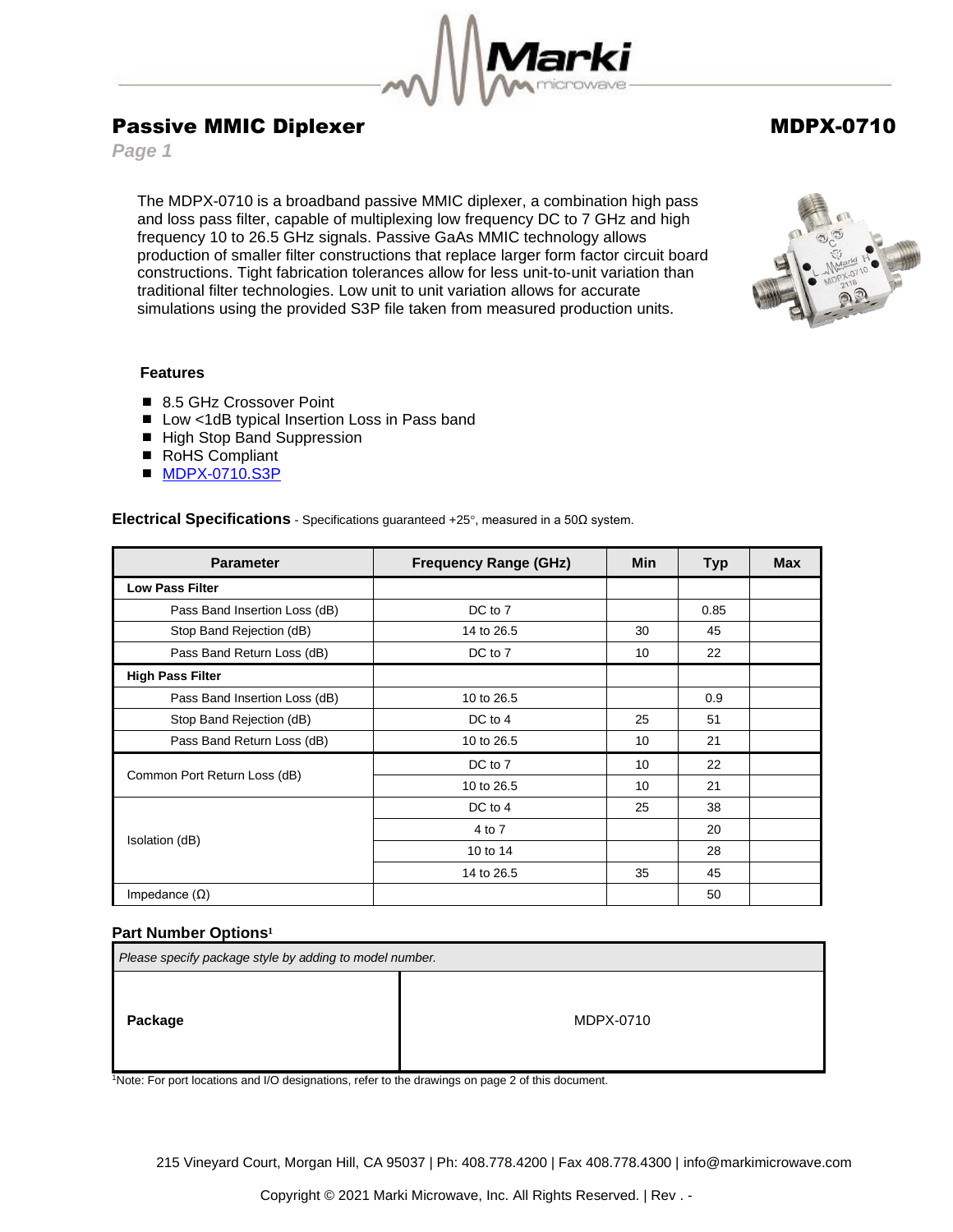

# Passive MMIC Diplexer MDPX-0710

*Page 1*

The MDPX-0710 is a broadband passive MMIC diplexer, a combination high pass and loss pass filter, capable of multiplexing low frequency DC to 7 GHz and high frequency 10 to 26.5 GHz signals. Passive GaAs MMIC technology allows production of smaller filter constructions that replace larger form factor circuit board constructions. Tight fabrication tolerances allow for less unit-to-unit variation than traditional filter technologies. Low unit to unit variation allows for accurate simulations using the provided S3P file taken from measured production units.



## **Features**

- 8.5 GHz Crossover Point
- Low <1dB typical Insertion Loss in Pass band
- High Stop Band Suppression
- RoHS Compliant
- [MDPX-0710.S3P](https://www.markimicrowave.com/assets/data/MDPX-0710.zip)

**Electrical Specifications** - Specifications guaranteed +25, measured in a 50Ω system.

| <b>Parameter</b>              | <b>Frequency Range (GHz)</b> | <b>Min</b> | <b>Typ</b> | <b>Max</b> |
|-------------------------------|------------------------------|------------|------------|------------|
| <b>Low Pass Filter</b>        |                              |            |            |            |
| Pass Band Insertion Loss (dB) | DC to 7                      |            | 0.85       |            |
| Stop Band Rejection (dB)      | 14 to 26.5                   | 30         | 45         |            |
| Pass Band Return Loss (dB)    | DC to 7                      | 10         | 22         |            |
| <b>High Pass Filter</b>       |                              |            |            |            |
| Pass Band Insertion Loss (dB) | 10 to 26.5                   |            | 0.9        |            |
| Stop Band Rejection (dB)      | DC to 4                      | 25         | 51         |            |
| Pass Band Return Loss (dB)    | 10 to 26.5                   | 10         | 21         |            |
| Common Port Return Loss (dB)  | DC to 7                      | 10         | 22         |            |
|                               | 10 to 26.5                   | 10         | 21         |            |
| Isolation (dB)                | DC to 4                      | 25         | 38         |            |
|                               | 4 to 7                       |            | 20         |            |
|                               | 10 to 14                     |            | 28         |            |
|                               | 14 to 26.5                   | 35         | 45         |            |
| Impedance $(\Omega)$          |                              |            | 50         |            |

### **Part Number Options<sup>1</sup>**

| Please specify package style by adding to model number. |           |  |  |
|---------------------------------------------------------|-----------|--|--|
| Package                                                 | MDPX-0710 |  |  |

<sup>1</sup>Note: For port locations and I/O designations, refer to the drawings on page 2 of this document.

215 Vineyard Court, Morgan Hill, CA 95037 | Ph: 408.778.4200 | Fax 408.778.4300 | info@markimicrowave.com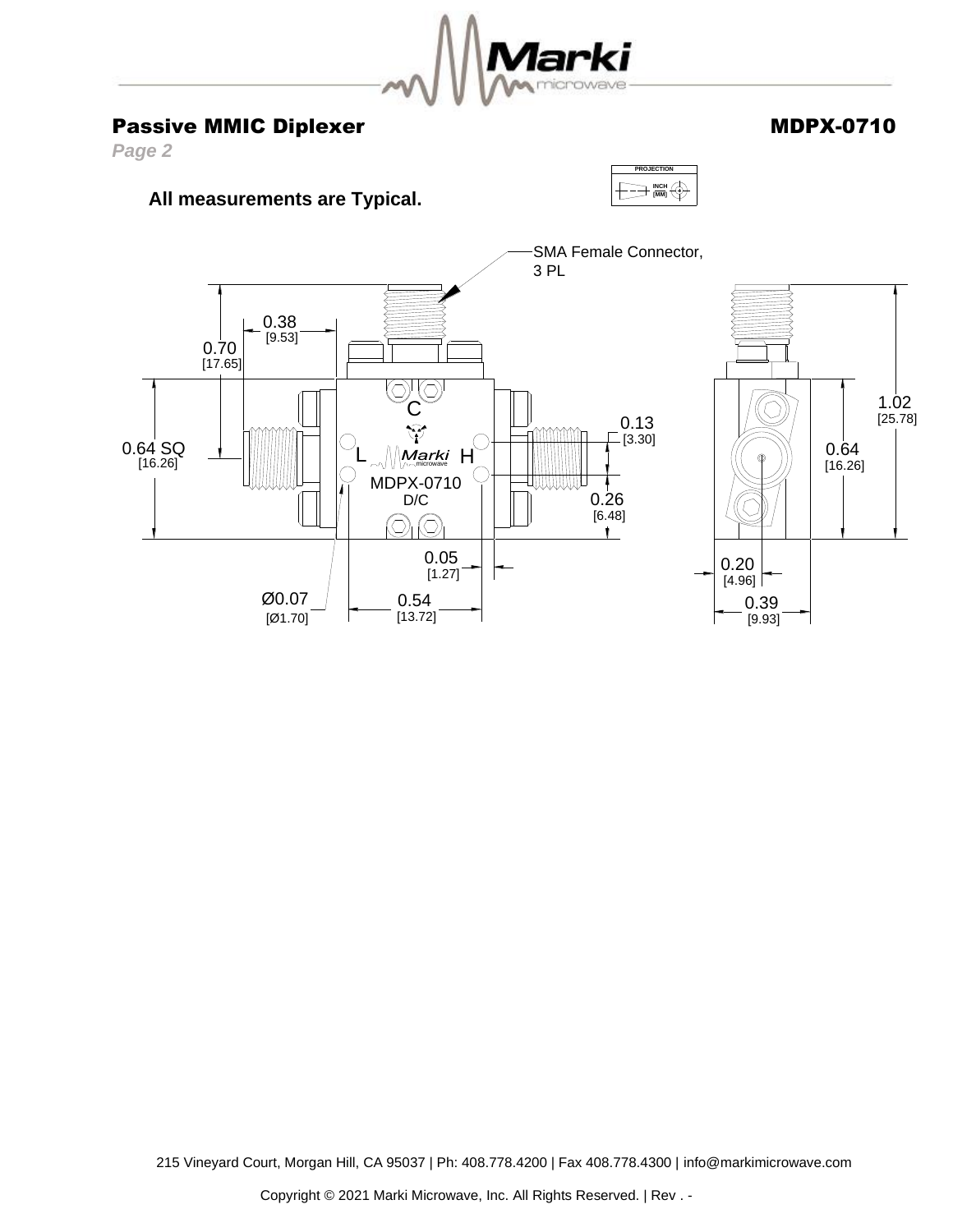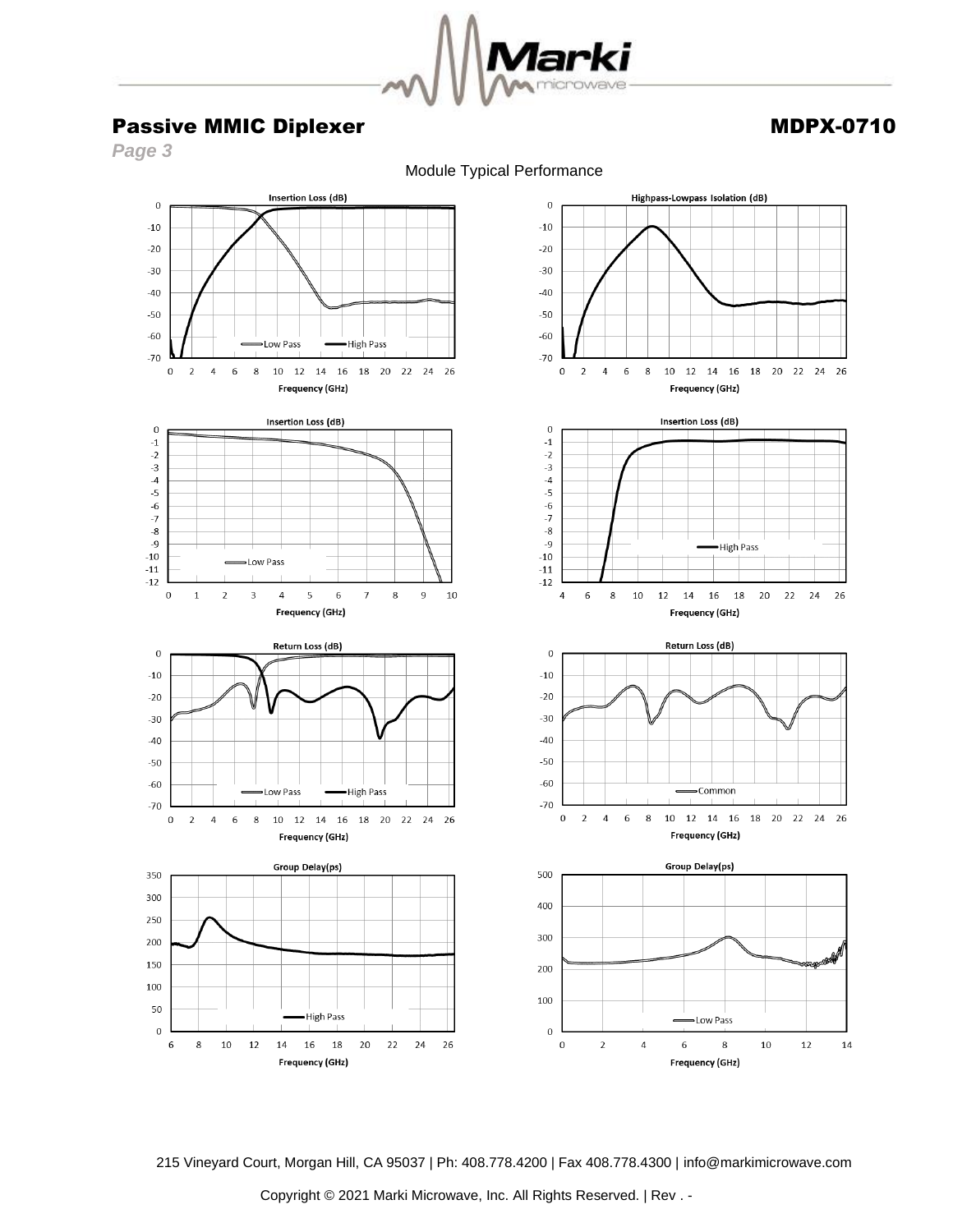

## Passive MMIC Diplexer Manual Accounts and MDPX-0710

*Page 3*

Module Typical Performance



215 Vineyard Court, Morgan Hill, CA 95037 | Ph: 408.778.4200 | Fax 408.778.4300 | info@markimicrowave.com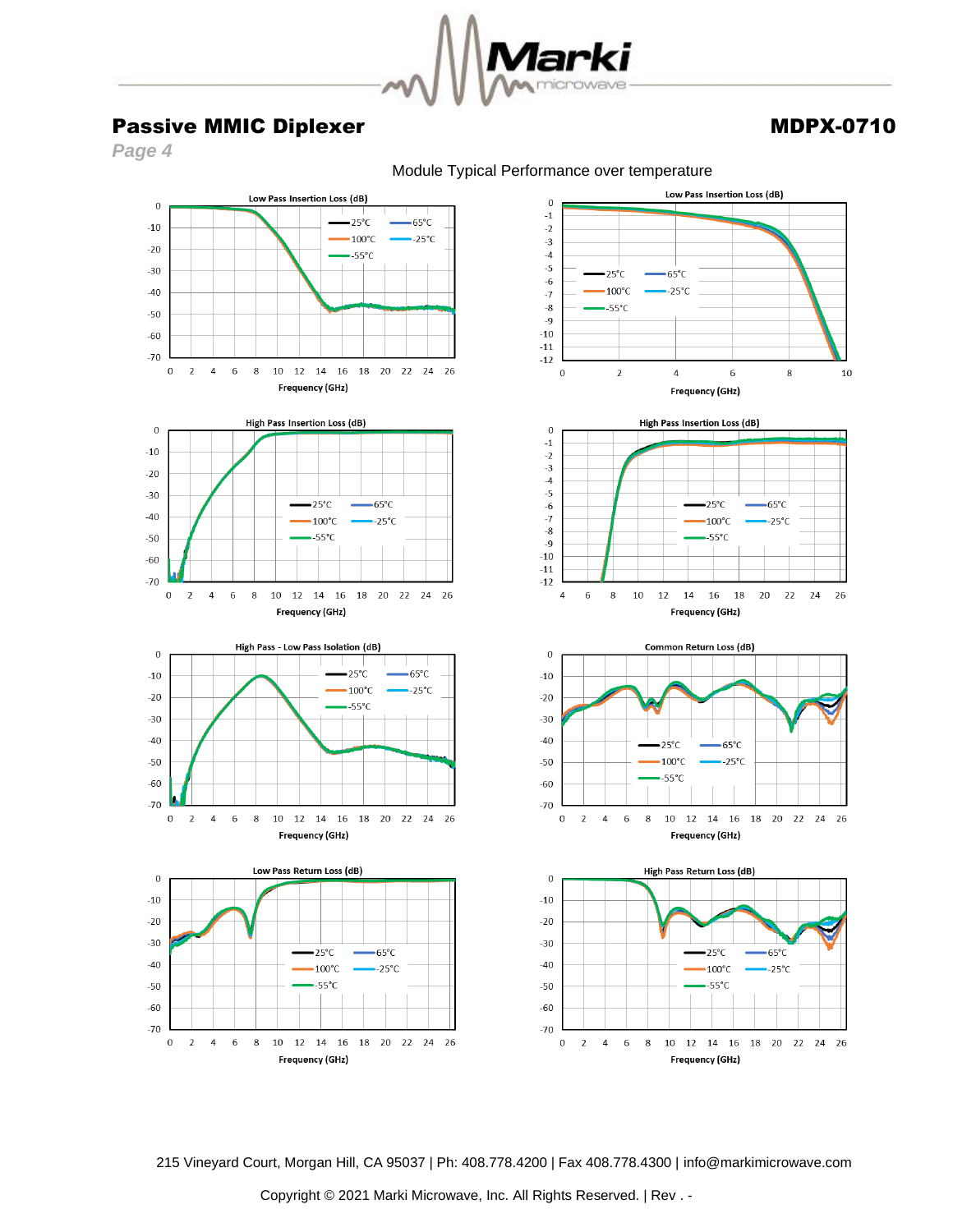

## Passive MMIC Diplexer Manual Accounts and MDPX-0710

*Page 4*

Module Typical Performance over temperature



215 Vineyard Court, Morgan Hill, CA 95037 | Ph: 408.778.4200 | Fax 408.778.4300 | info@markimicrowave.com